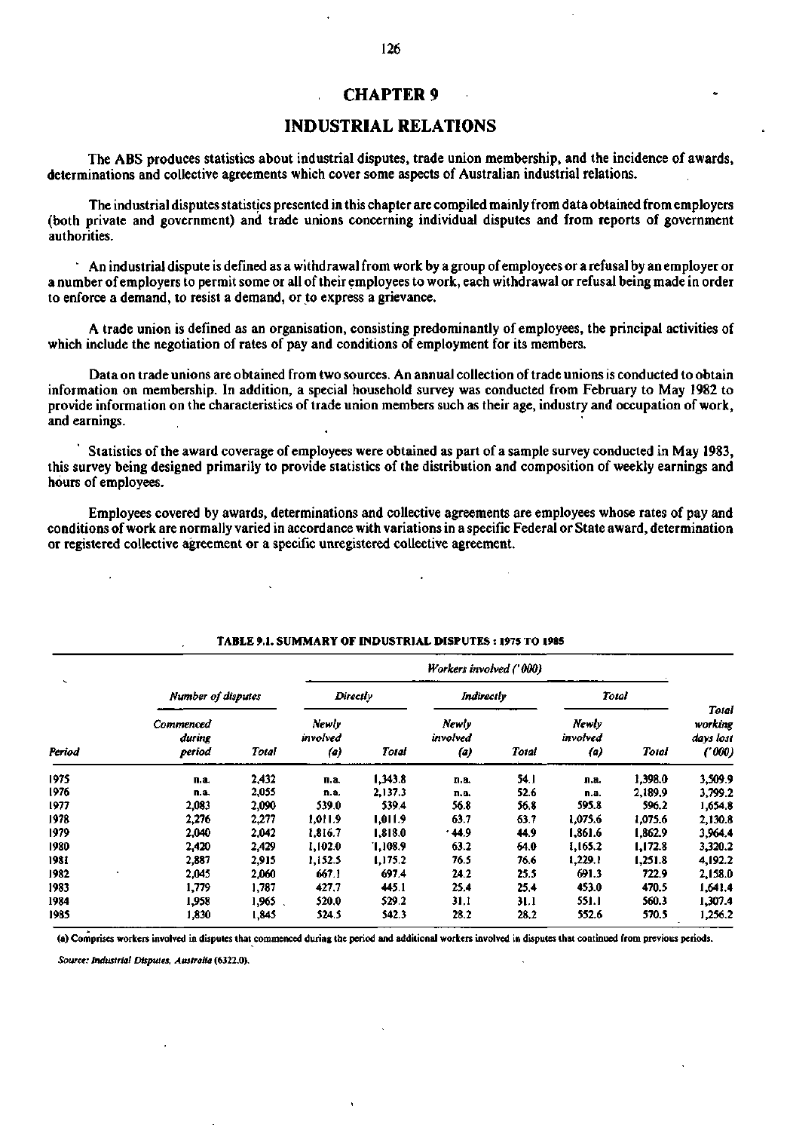### **CHAPTER 9**

## **INDUSTRIAL RELATIONS**

The ABS produces statistics about industrial disputes, trade union membership, and the incidence of awards, determinations and collective agreements which cover some aspects of Australian industrial relations.

The industrial disputes statistics presented in this chapter are compiled mainly from data obtained from employers (both private and government) and trade unions concerning individual disputes and from reports of government authorities.

' An industrial dispute is defined as a withdrawal from work by a group of employees or a refusal by an employer or a number of employers to permit some or all of their employees to work, each withdrawal or refusal being made in order to enforce a demand, to resist a demand, or to express a grievance.

A trade union is defined as an organisation, consisting predominantly of employees, the principal activities of which include the negotiation of rates of pay and conditions of employment for its members.

Data on trade unions are obtained from two sources. An annual collection of trade unions is conducted to obtain information on membership. In addition, a special household survey was conducted from February to May 1982 to provide information on the characteristics of trade union members such as their age, industry and occupation of work, and earnings.

Statistics of the award coverage of employees were obtained as part of a sample survey conducted in May 1983, this survey being designed primarily to provide statistics of the distribution and composition of weekly earnings and hours of employees.

Employees covered by awards, determinations and collective agreements are employees whose rates of pay and conditions of work are normally varied in accordance with variations in a specific Federal or State award, determination or registered collective agreement or a specific unregistered collective agreement.

|                                    |                                      |        |                          | Workers involved ('000) |                          |       |                          |         |                                         |  |  |  |
|------------------------------------|--------------------------------------|--------|--------------------------|-------------------------|--------------------------|-------|--------------------------|---------|-----------------------------------------|--|--|--|
| $\overline{\phantom{a}}$<br>Period | Number of disputes                   |        | Directly                 |                         | Indirectly               |       | Total                    |         |                                         |  |  |  |
|                                    | <b>Commenced</b><br>during<br>period | Total  | Newly<br>involved<br>(a) | Total                   | Newly<br>involved<br>(a) | Total | Newly<br>involved<br>(a) | Total   | Total<br>working<br>days lost<br>(1000) |  |  |  |
| 1975                               | n.a.                                 | 2,432  | п.а.                     | 1,343.8                 | n.a.                     | 54.1  | п.а.                     | 1,398.0 | 3,509.9                                 |  |  |  |
| 1976                               | n.a.                                 | 2,055  | n.a.                     | 2,137.3                 | n.a.                     | 52.6  | n.a.                     | 2,189.9 | 3,799.2                                 |  |  |  |
| 1977                               | 2,083                                | 2,090  | 539.0                    | 539.4                   | 56.8                     | 56.8  | 595.8                    | 596.2   | 1,654.8                                 |  |  |  |
| 1978                               | 2,276                                | 2,277  | 1,011.9                  | 1,011.9                 | 63.7                     | 63.7  | 1,075.6                  | 1,075.6 | 2,130.8                                 |  |  |  |
| 1979                               | 2,040                                | 2,042  | 1.816.7                  | 1,818.0                 | .44.9                    | 44.9  | 1.861.6                  | 1.862.9 | 3,964.4                                 |  |  |  |
| 1980                               | 2,420                                | 2,429  | 1,102.0                  | 1,108.9                 | 63.2                     | 64.0  | 1.165.2                  | 1,172.8 | 3,320.2                                 |  |  |  |
| 1981                               | 2,887                                | 2,915  | 1,152.5                  | 1,175.2                 | 76.5                     | 76.6  | 1,229.1                  | 1.251.8 | 4,192.2                                 |  |  |  |
| 1982                               | 2,045                                | 2,060  | 667.1                    | 697.4                   | 24.2                     | 25.5  | 691.3                    | 722.9   | 2,158.0                                 |  |  |  |
| 1983                               | 1,779                                | 1,787  | 427.7                    | 445.1                   | 25.4                     | 25.4  | 453.0                    | 470.5   | 1,641.4                                 |  |  |  |
| 1984                               | 1,958                                | 1,965. | 520.0                    | 529.2                   | 31,1                     | 31.1  | 551.1                    | 560.3   | 1,307.4                                 |  |  |  |
| 1985                               | 1,830                                | 1,845  | 524.5                    | 542.3                   | 28.2                     | 28,2  | 552.6                    | 570.5   | 1,256.2                                 |  |  |  |

#### **TABLE 9.1. SUMMARY OF INDUSTRIAL DISPUTES : 1975 TO 1985**

**(a) Comprises workers involved in disputes that commenced during the period and additional workers involved in disputes that continued from previous periods.** 

*Source: Industrial Disputes. Australia* **(6322.0).**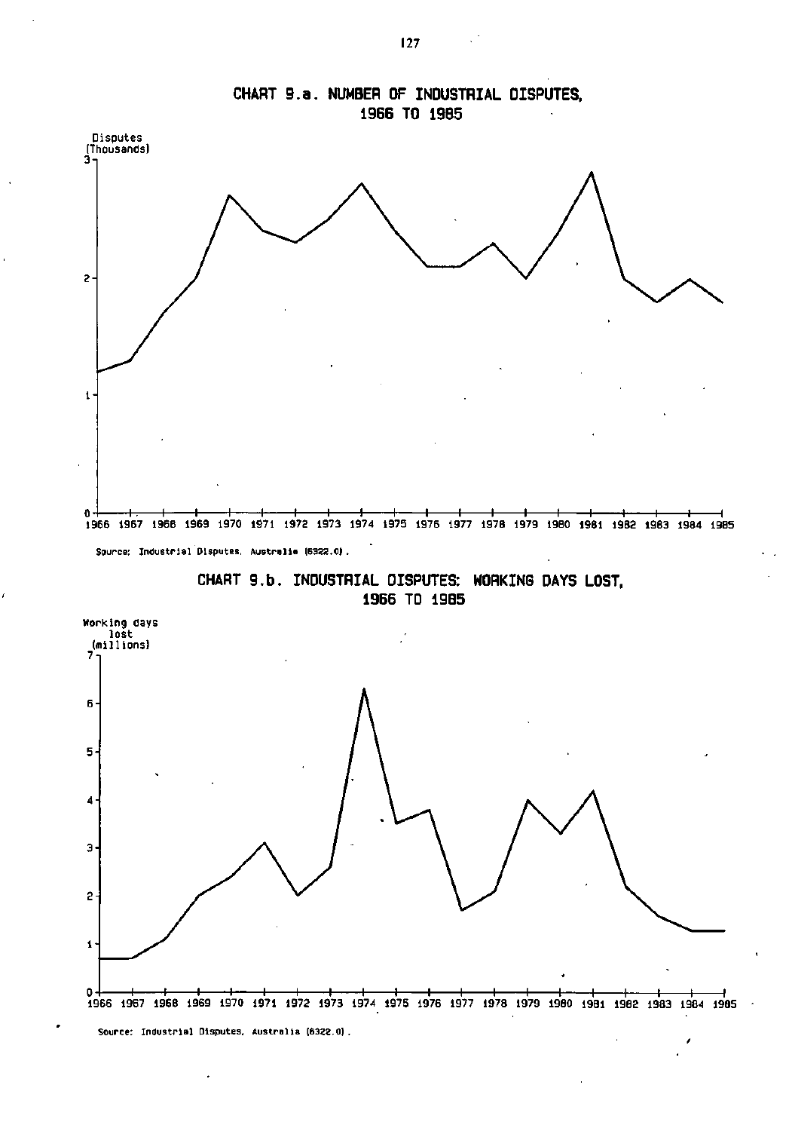





**Source: Industrial Disputes, Australia (6322.0).** 

 $\mathcal{L}$ 

**CHART 9.a. NUMBER OF INDUSTRIAL DISPUTES,**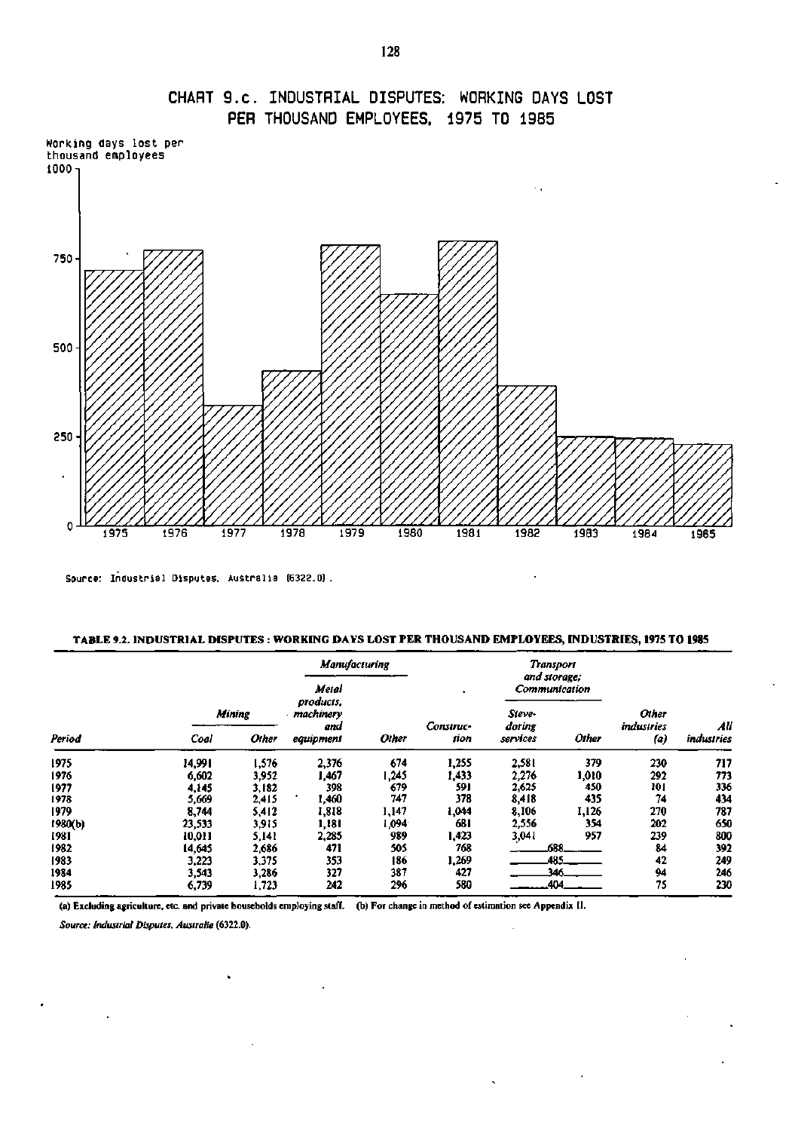

# CHART 9.C. INDUSTRIAL DISPUTES: WORKING DAYS LOST PER THOUSAND EMPLOYEES, 1975 TO 1985

Source: Industrial Disputes. Australia (6322.0) .

#### **TABLE 9.2. INDUSTRIAL DISPUTES : WORKING DAYS LOST PER THOUSAND EMPLOYEES, INDUSTRIES, 1975 TO 1985**

l.

 $\ddot{\phantom{0}}$ 

 $\hat{\mathbf{v}}$ 

|         |        | <b>Manufacturing</b> |                               |       |           |                  | <b>Transport</b><br>and storage; |                     |            |
|---------|--------|----------------------|-------------------------------|-------|-----------|------------------|----------------------------------|---------------------|------------|
|         |        |                      | Metal                         |       |           | Communication    |                                  |                     |            |
| Period  | Mining |                      | products,<br>machinery<br>and |       | Construc- | Steve-<br>doring |                                  | Other<br>industries | All        |
|         | Coal   | Other                | equipment                     | Other | tion      | services         | Other                            | (a)                 | industries |
| 1975    | 14,991 | 1,576                | 2,376                         | 674   | 1,255     | 2,581            | 379                              | 230                 | 717        |
| 1976    | 6,602  | 3,952                | 1.467                         | 1,245 | 1,433     | 2,276            | 1,010                            | 292                 | 773        |
| 1977    | 4.145  | 3,182                | 398                           | 679   | 591       | 2,625            | 450                              | 101                 | 336        |
| 1978    | 5,669  | 2,415                | 1,460                         | 747   | 378       | 8,418            | 435                              | 74                  | 434        |
| 1979    | 8.744  | 5,412                | 1,818                         | 1,147 | 1,044     | 8,106            | 1,126                            | 270                 | 787        |
| 1980(b) | 23,533 | 3,915                | 1,181                         | 1,094 | 681       | 2,556            | 354                              | 202                 | 650        |
| 1981    | 10,011 | 5,141                | 2,285                         | 989   | 1,423     | 3,041            | 957                              | 239                 | 800        |
| 1982    | 14,645 | 2,686                | 471                           | 505   | 768       |                  | 688                              | 84                  | 392        |
| 1983    | 3,223  | 3,375                | 353                           | 186   | 1,269     |                  | 485                              | 42                  | 249        |
| 1984    | 3,543  | 3,286                | 327                           | 387   | 427       |                  | างห                              | 94                  | 246        |
| 1985    | 6,739  | 1,723                | 242                           | 296   | 580       |                  | 404                              | 75                  | 230        |

(a) Excluding agriculture, etc. and private households employing staff, (b) For change in method of estimation see Appendix II.

 $\ddot{\phantom{a}}$ 

*Source: Industrial Disputes, Australia* **(6322.0).** 

.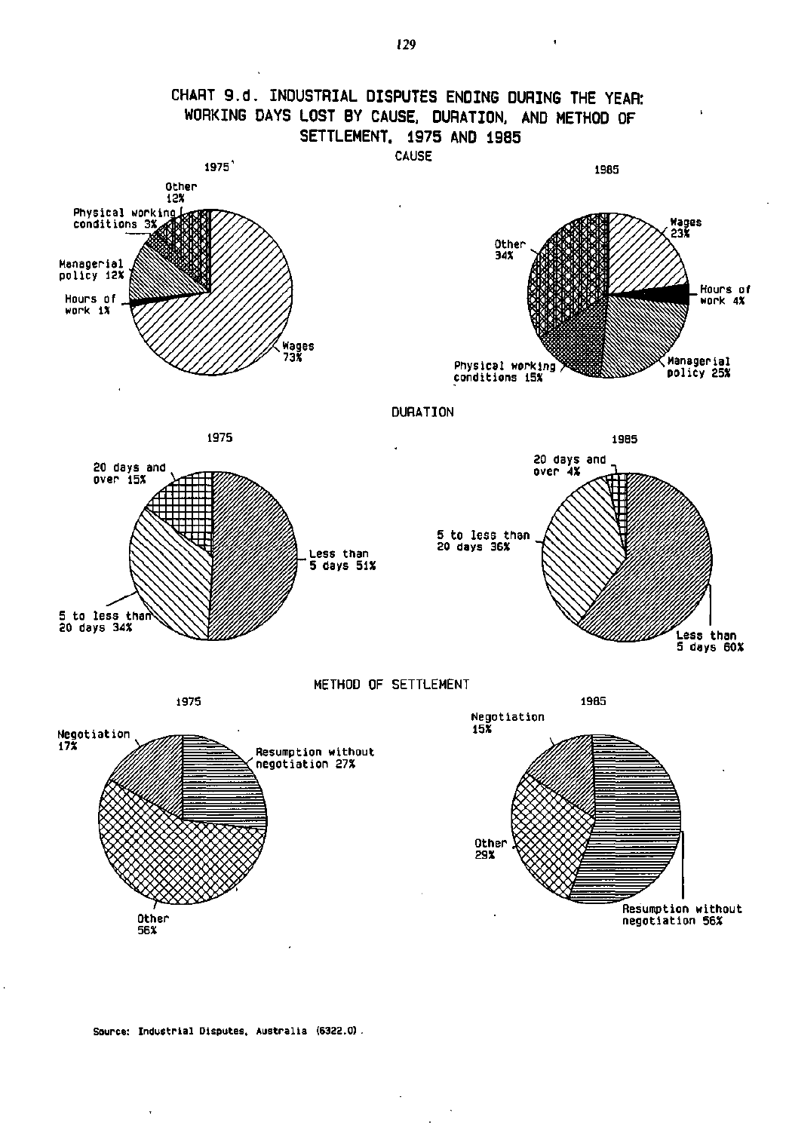

### **Source: Industrial Disputes. Australia (6322.0).**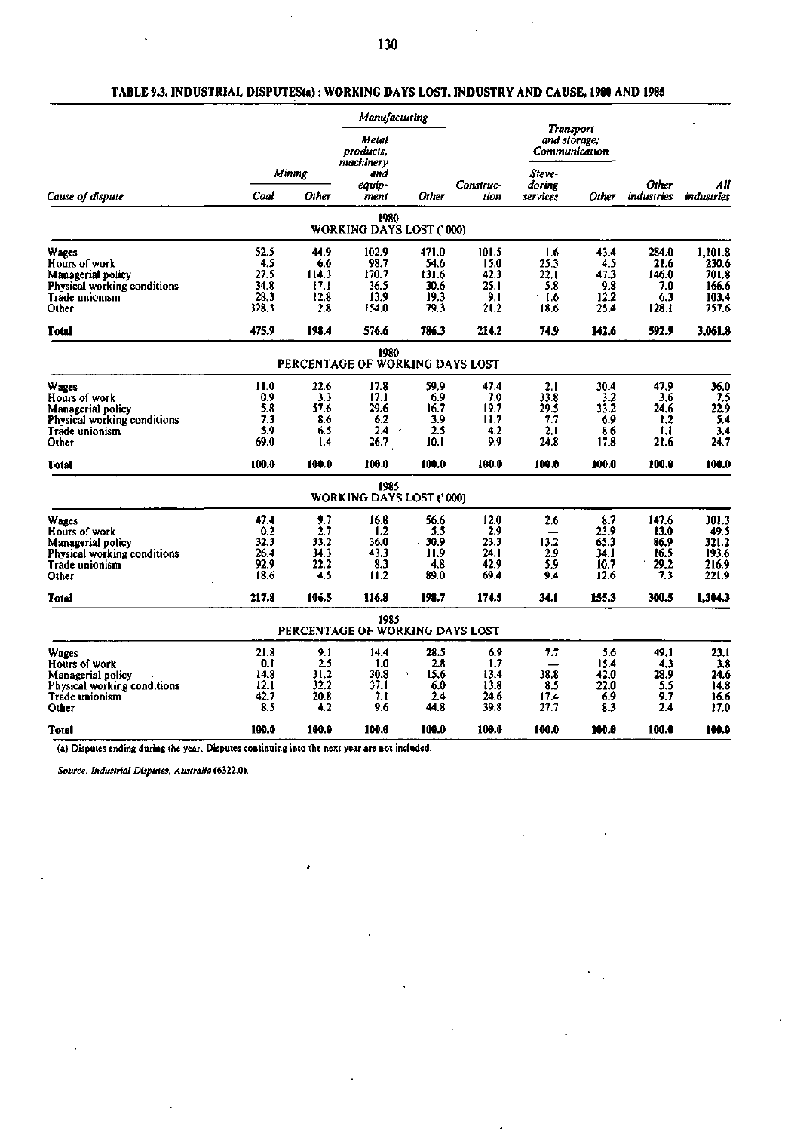i,

Ù,

|                                                  |             |             | Manufacturing                           |               |                   |                                            |             |                     |                   |
|--------------------------------------------------|-------------|-------------|-----------------------------------------|---------------|-------------------|--------------------------------------------|-------------|---------------------|-------------------|
|                                                  |             |             | Metal<br>products.<br>machinery         |               |                   | Transport<br>and storage;<br>Communication |             |                     |                   |
|                                                  | Mining      |             | and                                     |               |                   | Steve-                                     |             |                     |                   |
| Cause of dispute                                 | Coal        | Other       | equip-<br>ment                          | Other         | Construc-<br>tion | doring<br>services                         | Other       | Other<br>industries | All<br>industries |
|                                                  |             |             | 1980<br>WORKING DAYS LOST ('000)        |               |                   |                                            |             |                     |                   |
|                                                  |             |             |                                         |               |                   |                                            |             |                     |                   |
| Wages<br>Hours of work                           | 52.5<br>4.5 | 44.9<br>6.6 | 102.9<br>98.7                           | 471.0<br>54.6 | 101.5<br>15.0     | 1.6<br>25.3                                | 43.4<br>4.5 | 284.0<br>21.6       | 1,101.8<br>230.6  |
| Managerial policy                                | 27.5        | 114.3       | 170.7                                   | 131.6         | 42.3              | 22.1                                       | 47.3        | 146.0               | 701.8             |
| Physical working conditions                      | 34.8        | 17.1        | 36.5                                    | 30.6          | 25.I              | 5.8                                        | 9.8         | 7.0                 | 166.6             |
| Trade unionism                                   | 28.3        | 12.8        | 13.9                                    | 19.3          | 9.1               | 1.6                                        | 12.2        | 6.3                 | 103.4             |
| Other                                            | 328.3       | 2.8         | 154.0                                   | 79.3          | 21.2              | 18.6                                       | 25.4        | 128.1               | 757.6             |
| Total                                            | 475.9       | 198.4       | 576.6                                   | 786.3         | 214.2             | 74.9                                       | 142.6       | 592.9               | 3,061.8           |
|                                                  |             |             | 1980<br>PERCENTAGE OF WORKING DAYS LOST |               |                   |                                            |             |                     |                   |
|                                                  |             |             |                                         |               |                   |                                            |             |                     |                   |
| Wages                                            | 11.0        | 22.6        | 17.8                                    | 59.9          | 47.4              | 2.1                                        | 30.4        | 47.9                | 36.0              |
| Hours of work                                    | 0.9<br>5.8  | 3.3<br>57.6 | 17.1<br>29.6                            | 6.9<br>16.7   | 7.0<br>19.7       | 33.8<br>29.5                               | 3.2<br>33.2 | 3.6<br>24.6         | 7.5<br>22.9       |
| Managerial policy<br>Physical working conditions | 7.3         | 8.6         | 6.2                                     | 3.9           | 11.7              | 7.7                                        | 6.9         | 1,2                 | 5.4               |
| Trade unionism                                   | 5.9         | 6.5         | 2.4<br>$\epsilon$                       | 2.5           | 4.2               | 2.1                                        | 8.6         | 1.1                 | 3.4               |
| Other                                            | 69.0        | 1.4         | 26.7                                    | 10. I         | 9.9               | 24.8                                       | 17.8        | 21.6                | 24.7              |
| Total                                            | 100.0       | 100.0       | 100.0                                   | 100.0         | 100.0             | 100.0                                      | 100.0       | 100.0               | 100.0             |
|                                                  |             |             | 1985<br><b>WORKING DAYS LOST ('000)</b> |               |                   |                                            |             |                     |                   |
| Wages                                            | 47.4        | 9.7         | 16.8                                    | 56.6          | 12.0              | 2.6                                        | 8.7         | 147.6               | 301.3             |
| Hours of work                                    | 0.2         | 2.7         | 1.2                                     | 5.5           | 2.9               |                                            | 23.9        | 13.0                | 49.5              |
| Managerial policy                                | 32.3        | 33.2        | 36.0                                    | $-30.9$       | 23.3              | 13.2                                       | 65.3        | 86.9                | 321.2             |
| Physical working conditions                      | 26.4        | 34.3        | 43.3                                    | 11.9          | 24. I             | 2.9                                        | 34.I        | 16.5                | 193.6             |
| Trade unionism                                   | 92.9        | 22.2        | 8.3                                     | 4.8           | 42.9              | 5.9                                        | 10.7        | 29,2                | 216.9             |
| Other                                            | 18.6        | 4.5         | 11.2                                    | 89.0          | 69.4              | 9.4                                        | 12.6        | 7.3                 | 221.9             |
| Total                                            | 217.8       | 106.5       | 116.8                                   | 198.7         | 174.5             | 34.1                                       | 155.3       | 300.5               | 1,304.3           |
|                                                  |             |             | 1985<br>PERCENTAGE OF WORKING DAYS LOST |               |                   |                                            |             |                     |                   |
| Wages                                            | 21.8        | 9.I         | 14.4                                    | 28.5          | 6.9               | 7.7                                        | 5.6         | 49.1                | 23.1              |
| Hours of work                                    | 0.1         | 2.5         | 1.0                                     | 2.8           | 1.7               |                                            | 15.4        | 4.3                 | 3.8               |
| Managerial policy                                | 14.8        | 31.2        | 30.8                                    | 15.6<br>٠     | 13.4              | 38.8                                       | 42.0        | 28.9                | 24.6              |
| Physical working conditions                      | 12.1        | 32.2        | 37.1                                    | 6.0           | 13.8              | 8.5                                        | 22.0        | 5.5                 | 14.8              |
| Trade unionism                                   | 42.7        | 20.8        | 7.1                                     | 2.4           | 24.6              | 17.4                                       | 6.9         | 9.7                 | 16.6              |
| Other                                            | 8.5         | 4.2         | 9.6                                     | 44.8          | 39.8              | 27.7                                       | 8.3         | 2.4                 | 17.0              |
| Total                                            | 100.0       | 100.0       | 100.0                                   | 100.0         | 100.0             | 100.0                                      | 100.0       | 100.0               | 100.0             |

.

# **TABLE 9.3. INDUSTRIAL DISPUTES(a): WORKING DAYS LOST, INDUSTRY AND CAUSE, 1980 AND 1985**

(a) Disputes ending during the year. Disputes continuing into the next year are not included.

*Source: Industrial Disputes, Australia* **(6322.0).**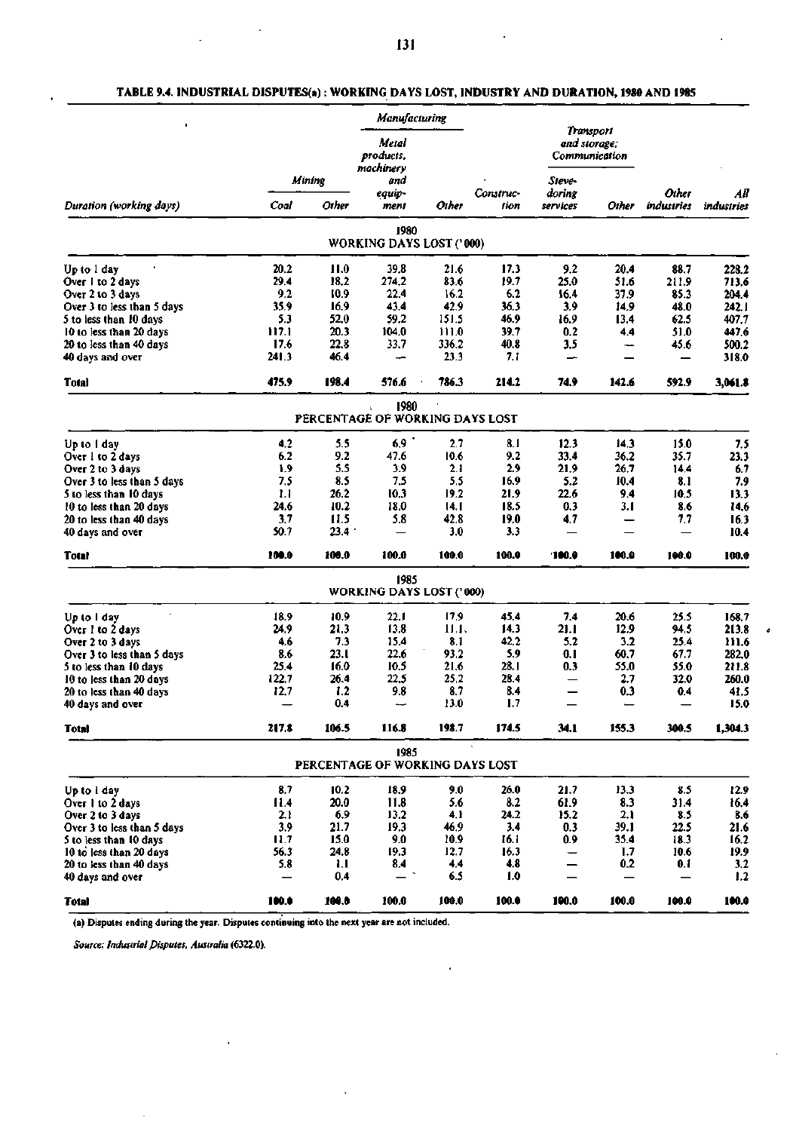$\overline{\phantom{a}}$ 

|                                 |       |                |                                         | Manufacturing |                   |                    |                                                      |                     |                   |
|---------------------------------|-------|----------------|-----------------------------------------|---------------|-------------------|--------------------|------------------------------------------------------|---------------------|-------------------|
|                                 |       |                | Metal<br>products.<br>machinerv         |               |                   |                    | Transport<br>and storage;<br>Communication           |                     |                   |
|                                 |       | Mining         | and                                     |               |                   | Steve-             |                                                      |                     | All<br>industries |
| Duration (working days)         | Coal  | Other          | equip-<br>ment                          | Other         | Construc-<br>tion | doring<br>services | Other                                                | Other<br>industries |                   |
|                                 |       |                | 1980<br><b>WORKING DAYS LOST ('000)</b> |               |                   |                    |                                                      |                     |                   |
|                                 | 20.2  |                | 39.8                                    |               | 17.3              | 9.2                |                                                      |                     |                   |
| Up to 1 day<br>Over 1 to 2 days | 29.4  | 11.0<br>18.2   | 274.2                                   | 21.6<br>83.6  | 19.7              | 25.0               | 20.4<br>51.6                                         | 88.7<br>211.9       | 228.2<br>713.6    |
| Over 2 to 3 days                | 9.2   | 10.9           | 22.4                                    | 16.2          | 6.2               | 16.4               | 37.9                                                 | 85.3                | 204.4             |
| Over 3 to less than 5 days      | 35.9  | 16.9           | 43.4                                    | 42.9          | 36.3              | 3.9                | 14.9                                                 | 48.0                | 242.1             |
| 5 to less than 10 days          | 5.3   | 52.0           | 59.2                                    | 151.5         | 46.9              | 16.9               | 13.4                                                 | 62.5                | 407.7             |
| 10 to less than 20 days         | 117.1 | 20.3           | 104.0                                   | 111.0         | 39.7              | 0.2                | 4.4                                                  | 51.0                | 447.6             |
| 20 to less than 40 days         | 17.6  | 22.8           | 33.7                                    | 336.2         | 40.8              | 3.5                |                                                      | 45.6                | 500.2             |
| 40 days and over                | 241.3 | 46.4           | --                                      | 23.3          | 7.1               | —                  | $\overline{\phantom{a}}$<br>$\overline{\phantom{0}}$ | —                   | 318.0             |
| Total                           | 475.9 | 198.4          | 576.6                                   | 786.3         | 214.2             | 74.9               | 142.6                                                | 592.9               | 3,061.8           |
|                                 |       |                | 1980<br>PERCENTAGE OF WORKING DAYS LOST |               |                   |                    |                                                      |                     |                   |
|                                 |       |                |                                         |               |                   |                    |                                                      |                     |                   |
| Up to 1 day                     | 4.2   | 5.5            | 6,9                                     | 2.7           | 8.1               | 12.3               | 14.3                                                 | 15.0                | 7.5               |
| Over 1 to 2 days                | 6.2   | 9.2            | 47.6                                    | 10.6          | 9.2               | 33.4               | 36.2                                                 | 35.7                | 23.3              |
| Over 2 to 3 days                | 1.9   | 5.5            | 3.9                                     | 2.1           | 2.9               | 21.9               | 26.7                                                 | 14.4                | 6.7               |
| Over 3 to less than 5 days      | 7,5   | 8.5            | 7.5                                     | 5,5           | 16.9              | 5.2                | 10.4                                                 | 8.1                 | 7.9               |
| 5 to less than 10 days          | 1.1   | 26.2           | 10.3                                    | 19.2          | 21.9              | 22.6               | 9.4                                                  | 10.5                | 13.3              |
| 10 to less than 20 days         | 24.6  | 10.2           | 18.0                                    | 14. I         | 18.5              | 0.3                | 3.1                                                  | 8.6                 | 14,6              |
| 20 to less than 40 days         | 3.7   | 11.5           | 5.8                                     | 42.8          | 19.0              | 4.7                | $\qquad \qquad$                                      | 7.7                 | 16.3              |
| 40 days and over                | 50.7  | $23.4^{\circ}$ |                                         | 3.0           | 3.3               |                    |                                                      |                     | 10.4              |
| <b>Total</b>                    | 100.0 | 100.0          | 100.0                                   | 100.0         | 100.0             | 100.0              | 100.0                                                | 100.0               | 100.0             |
|                                 |       |                | 1985<br><b>WORKING DAYS LOST ('000)</b> |               |                   |                    |                                                      |                     |                   |
| Up to I day                     | 18.9  | 10.9           | 22.1                                    | 17,9          | 45.4              | 7.4                | 20.6                                                 | 25.5                | 168.7             |
| Over 1 to 2 days                | 24.9  | 21.3           | 13.8                                    | 11.1.         | 14.3              | 21.1               | 12.9                                                 | 94.5                | 213.8             |
| Over 2 to 3 days                | 4.6   | 7.3            | 15.4                                    | 8.1           | 42.2              | 5.2                | 3.2                                                  | 25.4                | 111.6             |
| Over 3 to less than 5 days      | 8.6   | 23.I           | 22.6                                    | 93.2          | 5.9               | 0. 1               | 60.7                                                 | 67.7                | 282.0             |
| 5 to less than 10 days          | 25.4  | 16.0           | 10.5                                    | 21.6          | 28. I             | 0.3                | 55.0                                                 | 55.0                | 211.8             |
| 10 to less than 20 days         | 122.7 | 26.4           | 22.5                                    | 25.2          | 28.4              | —                  | 2.7                                                  | 32.0                | 260.0             |
| 20 to less than 40 days         | 12,7  | 1.2            | 9.8                                     | 8.7           | 8.4               | —                  | 0.3                                                  | 0.4                 | 41.5              |
| 40 days and over                |       | 0.4            | مسيد                                    | 13.0          | 1.7               |                    |                                                      | –                   | 15.0              |
| Total                           | 217.8 | 106.5          | 116.8                                   | 198.7         | 174.5             | 34.1               | 155.3                                                | 300.5               | 1,304.3           |
|                                 |       |                | 1985<br>PERCENTAGE OF WORKING DAYS LOST |               |                   |                    |                                                      |                     |                   |
| Up to 1 day                     | 8.7   | 10.2           | 18.9                                    | 9.0           | 26.0              | 21.7               | 13.3                                                 | 8.5                 | 12.9              |
| Over 1 to 2 days                | 11.4  | 20.0           | 11.8                                    | 5.6           | 8.2               | 61.9               | 8.3                                                  | 31.4                | 16.4              |
| Over 2 to 3 days                | 2.1   | 6.9            | 13.2                                    | 4,1           | 24.2              | 15.2               | 2.1                                                  | 8.5                 | 8.6               |
| Over 3 to less than 5 days      | 3.9   | 21.7           | 19.3                                    | 46.9          | 3.4               | 0.3                | 39.1                                                 | 22.5                | 21.6              |
| 5 to less than 10 days          | 11.7  | 15.0           | 9.0                                     | 10.9          | 16.1              | 0.9                | 35.4                                                 | 18.3                | 16.2              |
| 10 to less than 20 days         | 56.3  | 24.8           | 19.3                                    | 12.7          | 16.3              |                    | 1.7                                                  | 10.6                | 19.9              |
| 20 to less than 40 days         | 5.8   | 1.1            | 8.4                                     | 4.4           | 4.8               | $\qquad \qquad$    | 0.2                                                  | 0.1                 | 3.2               |
| 40 days and over                |       | 0,4            |                                         | 6.5           | 1.0               |                    |                                                      |                     | 1.2               |
| Total                           | 100.0 | 100.0          | 100.0                                   | 100.0         | 100.0             | 100.0              | 100.0                                                | 100.0               | 100.0             |

# **TABLE 9.4. INDUSTRIAL DISPUTES(a): WORKING DAYS LOST, INDUSTRY AND DURATION, 1980 AND 1985**

(a) Disputes ending during the year. Disputes continuing into the next year are not included.

*Source: Industrial Disputes, Australia* **(6322.0).**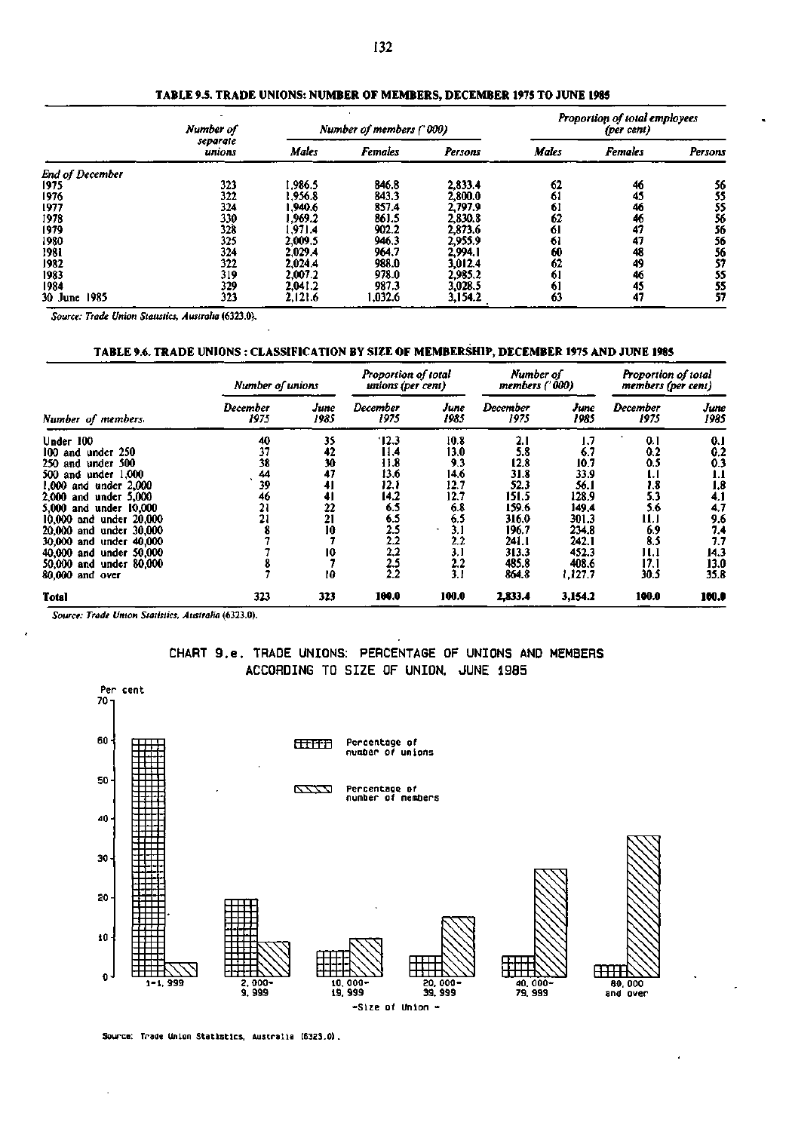|                 | Number of          | Number of members ('000) |                |         |              | Proportion of total employees<br>(per cent) |         |  |  |
|-----------------|--------------------|--------------------------|----------------|---------|--------------|---------------------------------------------|---------|--|--|
|                 | separate<br>unions | Males                    | <b>Females</b> | Persons | <b>Males</b> | <b>Females</b>                              | Persons |  |  |
| End of December |                    |                          |                |         |              |                                             |         |  |  |
| 1975            | 323                | 1.986.5                  | 846.8          | 2,833.4 | 62           | 46                                          | 56      |  |  |
| 1976            | 322                | 1.956.8                  | 843.3          | 2.800.0 | 61           | 45                                          | 55      |  |  |
| 1977            | 324                | 1.940.6                  | 857.4          | 2,797.9 | 61           | 46                                          | 55      |  |  |
| 1978            | 330                | 1,969.2                  | 861.5          | 2,830.8 | 62           | 46                                          | 56      |  |  |
| 1979            | 328                | 1.971.4                  | 902.2          | 2,873.6 | 61           | 47                                          | 56      |  |  |
| 1980            | 325                | 2,009.5                  | 946.3          | 2,955.9 | 61           | 47                                          | 56      |  |  |
| 1981            | 324                | 2.029.4                  | 964.7          | 2.994.1 | 60           | 48                                          | 56      |  |  |
| 1982            | 322                | 2.024.4                  | 988.0          | 3,012.4 | 62           | 49                                          | 57      |  |  |
| 1983            | 319                | 2,007.2                  | 978.0          | 2,985.2 | 61           | 46                                          | 55      |  |  |
| 1984            | 329                | 2,041.2                  | 987.3          | 3,028.5 | 61           | 45                                          | 55      |  |  |
| 30 June<br>1985 | 323                | 2,121.6                  | 1,032.6        | 3,154.2 | 63           | 47                                          | 57      |  |  |

**TABLE 9.5. TRADE UNIONS: NUMBER OF MEMBERS, DECEMBER 1975 TO JUNE 1985** 

*Source: Trade Union Statistics. Australia* **(6323.0).** 

### **TABLE 9.6. TRADE UNIONS : CLASSIFICATION BY SIZE OF MEMBERSHIP, DECEMBER 1975 AND JUNE 1985**

|                           | Number of unions |              | Proportion of total<br>unions (per cent) |              | Number of<br>members ('000) |              | Proportion of total<br>members (per cent) |              |
|---------------------------|------------------|--------------|------------------------------------------|--------------|-----------------------------|--------------|-------------------------------------------|--------------|
| Number of members         | December<br>1975 | June<br>1985 | December<br>1975                         | Јиле<br>1985 | December<br>1975            | June<br>1985 | December<br>1975                          | June<br>1985 |
| Under 100                 | 40               | 35           | '12.3                                    | 10.8         | 2.1                         | 1.7          | 0.1                                       | 0.1          |
| 100 and under 250         | 37               | 42           | 11.4                                     | 13.0         | 5.8                         | 6.7          | 0.2                                       | 0.2          |
| 250 and under 500         | 38               | 30           | 11.8                                     | 9.3          | 12.8                        | 10.7         | 0.5                                       | 0.3          |
| 500 and under 1,000       | 44               | 47           | 13.6                                     | 14.6         | 31.8                        | 33.9         | IJ                                        | 1.1          |
| 1.000<br>and under 2,000  | 39               | 41           | 12.1                                     | 12.7         | 52.3                        | 56. I        | 1.8                                       | 1.8          |
| 2.000<br>and under 5,000  | 46               | 4            | 14.2                                     | 12.7         | 151.5                       | 128.9        | 5.3                                       | 4.1          |
| 5.000<br>and under 10.000 | 21               | 22           | 6.5                                      | 6.8          | 159.6                       | 149.4        | 5.6                                       | 4.7          |
| 10,000 and under 20,000   | 21               | 21           | 6.5                                      | 6.5          | 316.0                       | 301.3        | 11.1                                      | 9.6          |
| 20,000 and under 30,000   |                  | 10           | 2.5                                      | 3.1          | 196.7                       | 234.8        | 6.9                                       | 7.4          |
| 30,000 and under 40,000   |                  |              | 2.2                                      | 2.2          | 241.I                       | 242.1        | 8.5                                       | 7.7          |
| 40,000 and under 50,000   |                  | 10           | 2,2                                      | 3.1          | 313.3                       | 452.3        | 11.1                                      | 14.3         |
| 50,000 and under 80,000   |                  |              | 2.5                                      | 2.2          | 485.8                       | 408.6        | 17.1                                      | 13.0         |
| 80,000 and over           |                  | 10           | 2.2                                      | 3.1          | 864.8                       | 1,127.7      | 30.5                                      | 35.8         |
| <b>Total</b>              | 323              | 323          | 100.0                                    | 100.0        | 2,833.4                     | 3,154.2      | 100.0                                     | 100.0        |

*Source: Trade Union Statistics, Australia* **(6323.0).** 





**Source: Trade Union Statistics, Australia (6323.0).**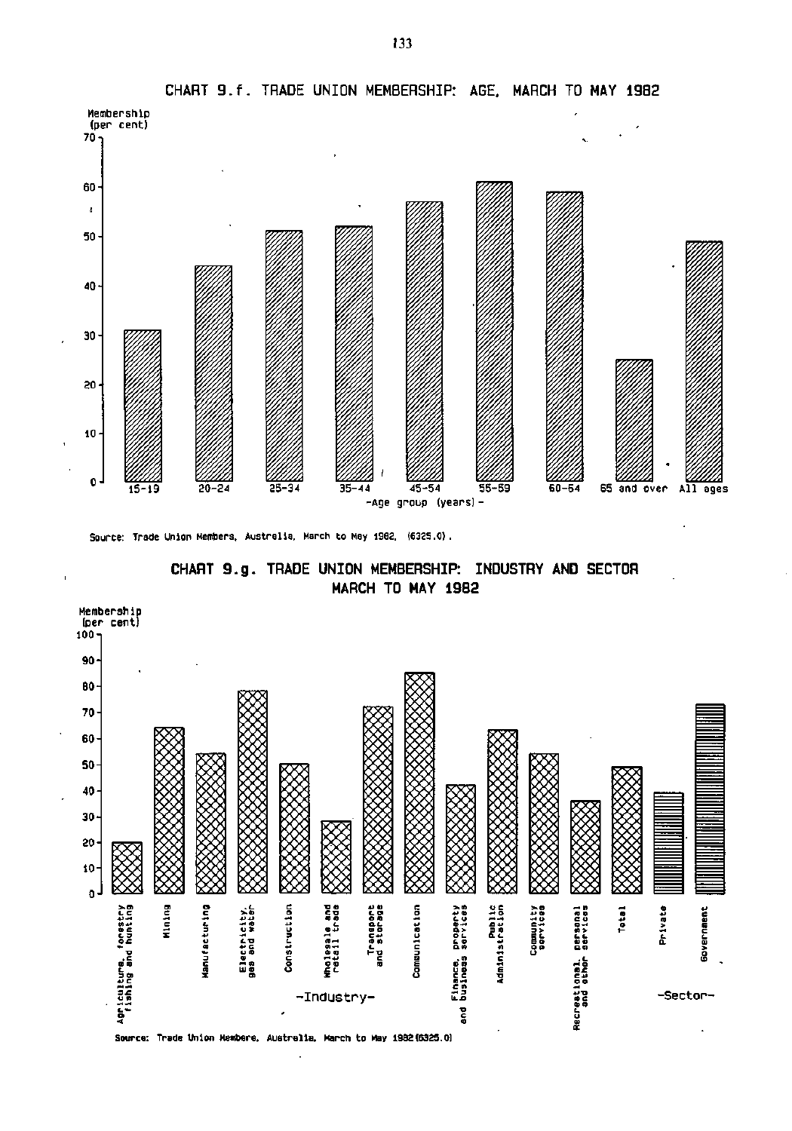

**CHART 9.f. TRADE UNION MEMBERSHIP: AGE. MARCH TO MAY 1982** 

Source: Trade Union Members. Australia, March to May 1982, (6325.0) ,

**CHART 9.g . TRADE UNION MEMBERSHIP: INDUSTRY AND SECTOR MARCH TO MAY 1982** 

l,

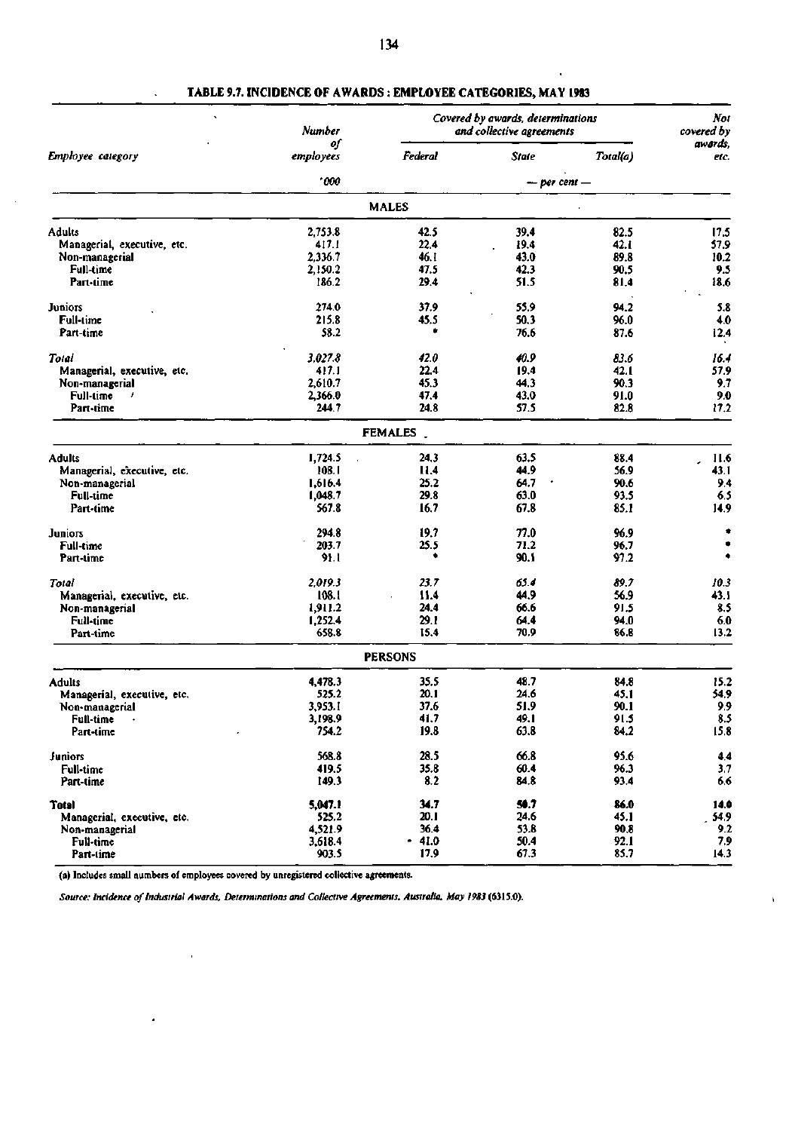|                             | Number          | Covered by awards, determinations<br>and collective agreements | Not<br>covered by |          |                 |  |
|-----------------------------|-----------------|----------------------------------------------------------------|-------------------|----------|-----------------|--|
| Employee category           | of<br>employees | Federal                                                        | State             | Total(a) | awords,<br>etc. |  |
|                             | .000            |                                                                | $-$ per cent $-$  |          |                 |  |
|                             |                 | <b>MALES</b>                                                   |                   |          |                 |  |
| Adults                      | 2,753.8         | 42.5                                                           | 39.4              | 82.5     | 17.5            |  |
| Managerial, executive, etc. | 417. I          | 22.4                                                           | 19.4              | 42. i    | 57.9            |  |
| Non-managerial              | 2,336.7         | 46.1                                                           | 43.0              | 89.8     | 10.2            |  |
| Full-time                   | 2,150.2         | 47.5                                                           | 42.3              | 90.5     | 9.5             |  |
| Part-time                   | 186.2           | 29.4                                                           | 51.5              | 81.4     | 18.6            |  |
| <b>Juniors</b>              | 274.0           | 37.9                                                           | 55.9              | 94.2     | 5.8             |  |
| Full-time                   | 215.8           | 45.5                                                           | 50.3              | 96.0     | 4.0             |  |
| Part-time                   | 58.2            |                                                                | 76.6              | 87.6     | 12.4            |  |
| Total                       | 3,027.8         | 42.0                                                           | 40.9              | 83.6     | 16.4            |  |
| Managerial, executive, etc. | 417.1           | 22.4                                                           | 19.4              | 42.1     | 57.9            |  |
| Non-managerial              | 2,610.7         | 45.3                                                           | 44.3              | 90.3     | 9.7             |  |
| Full-time<br>,              | 2,366.0         | 47.4                                                           | 43.0              | 91.0     | 9.0             |  |
| Part-time                   | 244.7           | 24.8                                                           | 57.5              | 82.8     | 17.2            |  |
|                             |                 | FEMALES _                                                      |                   |          |                 |  |
| <b>Adults</b>               | 1,724.5         | 24.3                                                           | 63.5              | 88.4     | 11.6            |  |
| Managerial, executive, etc. | 108.1           | 11.4                                                           | 44.9              | 56.9     | 43.1            |  |
| Non-managerial              | 1,616.4         | 25.2                                                           | 64.7              | 90.6     | 9.4             |  |
| <b>Full-time</b>            | 1,048.7         | 29.8                                                           | 63.0              | 93.5     | 6.5             |  |
| Part-time                   | 567.8           | 16,7                                                           | 67.8              | 85.1     | 14.9            |  |
| <b>Juniors</b>              | 294.8           | 19.7                                                           | 77.0              | 96.9     | ۰               |  |
| <b>Full-time</b>            | 203.7           | 25.5                                                           | 71.2              | 96.7     |                 |  |
| Part-time                   | 91.1            |                                                                | 90.1              | 97.2     | ۰               |  |
| Total                       | 2.019.3         | 23.7                                                           | 65.4              | 89.7     | 10.3            |  |
| Managerial, executive, etc. | 108.1           | 11.4                                                           | 44.9              | 56.9     | 43.1            |  |
| Non-managerial              | 1,911.2         | 24.4                                                           | 66.6              | 91.5     | 8.5             |  |
| Full-time                   | 1,252.4         | 29.1                                                           | 64.4              | 94.0     | 6.0             |  |
| Part-time                   | 658.8           | 15.4                                                           | 70.9              | 86.8     | 13.2            |  |
|                             |                 | <b>PERSONS</b>                                                 |                   |          |                 |  |
| <b>Adults</b>               | 4,478.3         | 35.5                                                           | 48.7              | 84.8     | 15.2            |  |
| Managerial, executive, etc. | 525.2           | 20.1                                                           | 24.6              | 45.1     | 54.9            |  |
| Non-managerial              | 3,953.1         | 37.6                                                           | 51.9              | 90.1     | 9,9             |  |
| Full-time<br>$\bullet$      | 3,198.9         | 41.7                                                           | 49.1              | 91.5     | 8.5             |  |
| Part-time                   | 754.2           | 19.8                                                           | 63.8              | 84,2     | 15.8            |  |
| Juniors                     | 568.8           | 28.5                                                           | 66.8              | 95.6     | 4,4             |  |
| <b>Full-time</b>            | 419.5           | 35.8                                                           | 60.4              | 96.3     | 3.7             |  |
| Part-time                   | 149.3           | 8.2                                                            | 84.8              | 93.4     | 6.6             |  |
| <b>Total</b>                | 5,047.1         | 34.7                                                           | 50.7              | 86.0     | 14.0            |  |
| Managerial, executive, etc. | 525.2           | 20.1                                                           | 24.6              | 45.1     | 54.9            |  |
| Non-managerial              | 4,521.9         | 36.4                                                           | 53.8              | 90.8     | 9.2             |  |
| Full-time                   | 3,618.4         | $-41.0$                                                        | 50.4              | 92.1     | 7.9             |  |
| Part-time                   | 903.5           | 17.9                                                           | 67.3              | 85.7     | 14.3            |  |

 $\mathbf{I}$ 

# **TABLE 9.7. INCIDENCE OF AWARDS : EMPLOYEE CATEGORIES, MAY 1983**

l.

(a) Includes small numbers of employees covered by unregistered collective agreements.

 $\bar{1}$ 

 $\bullet$ 

*Source: Incidence of Industrial Awards, Determinations and Collective Agreements, Australia, May 1983* **(6315.0).**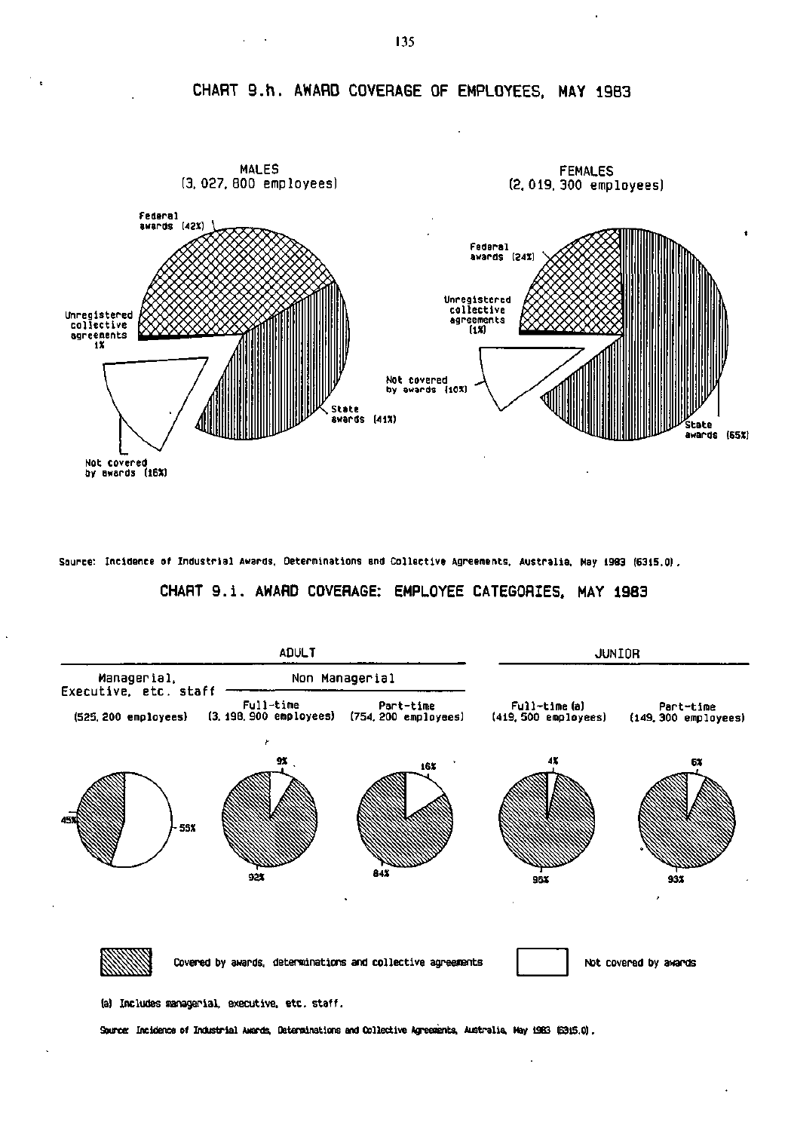**CHART 9.h . AWARD COVERAGE OF EMPLOYEES. MAY 1983** 



**Source: Incidence of Industrial Awards, Determinations and Collective Agreements, Australia, May 1983 (6315.0)** 

## **CHART 9.i . AWARD COVERAGE: EMPLOYEE CATEGORIES. MAY 1983**



(a) Includes managerial, executive, etc. staff.

Source: Incidence of Industrial Awards. Determinations and Collective Agreements, Australia, Hay 1333 (6315.0).

135